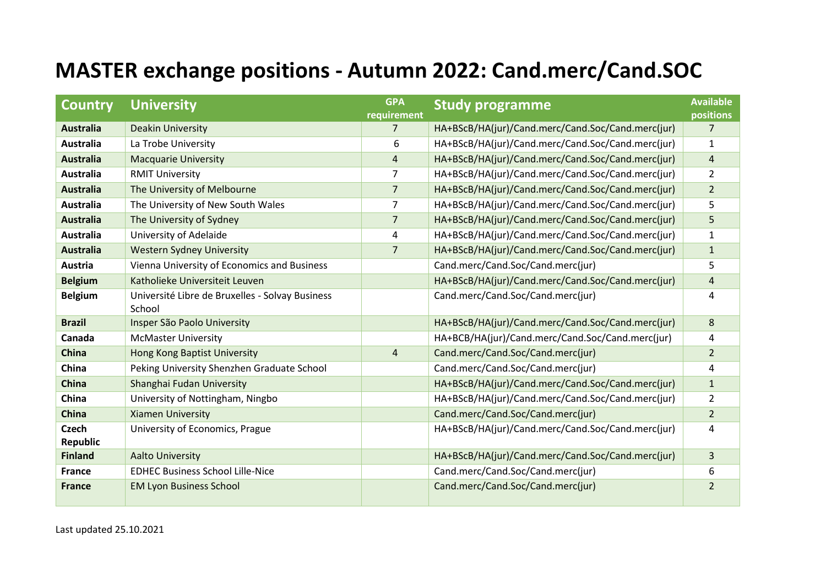## **MASTER exchange positions - Autumn 2022: Cand.merc/Cand.SOC**

| <b>Country</b>    | <b>University</b>                                         | <b>GPA</b><br>requirement | <b>Study programme</b>                            | <b>Available</b><br>positions |
|-------------------|-----------------------------------------------------------|---------------------------|---------------------------------------------------|-------------------------------|
| <b>Australia</b>  | <b>Deakin University</b>                                  | $\overline{7}$            | HA+BScB/HA(jur)/Cand.merc/Cand.Soc/Cand.merc(jur) | 7                             |
| <b>Australia</b>  | La Trobe University                                       | 6                         | HA+BScB/HA(jur)/Cand.merc/Cand.Soc/Cand.merc(jur) | 1                             |
| <b>Australia</b>  | <b>Macquarie University</b>                               | $\overline{\mathbf{4}}$   | HA+BScB/HA(jur)/Cand.merc/Cand.Soc/Cand.merc(jur) | $\overline{4}$                |
| Australia         | <b>RMIT University</b>                                    | $\overline{7}$            | HA+BScB/HA(jur)/Cand.merc/Cand.Soc/Cand.merc(jur) | $\overline{2}$                |
| <b>Australia</b>  | The University of Melbourne                               | $\overline{7}$            | HA+BScB/HA(jur)/Cand.merc/Cand.Soc/Cand.merc(jur) | $\overline{2}$                |
| <b>Australia</b>  | The University of New South Wales                         | 7                         | HA+BScB/HA(jur)/Cand.merc/Cand.Soc/Cand.merc(jur) | 5                             |
| <b>Australia</b>  | The University of Sydney                                  | $\overline{7}$            | HA+BScB/HA(jur)/Cand.merc/Cand.Soc/Cand.merc(jur) | 5                             |
| <b>Australia</b>  | University of Adelaide                                    | 4                         | HA+BScB/HA(jur)/Cand.merc/Cand.Soc/Cand.merc(jur) | $\mathbf{1}$                  |
| <b>Australia</b>  | <b>Western Sydney University</b>                          | $\overline{7}$            | HA+BScB/HA(jur)/Cand.merc/Cand.Soc/Cand.merc(jur) | $\mathbf{1}$                  |
| Austria           | Vienna University of Economics and Business               |                           | Cand.merc/Cand.Soc/Cand.merc(jur)                 | 5                             |
| <b>Belgium</b>    | Katholieke Universiteit Leuven                            |                           | HA+BScB/HA(jur)/Cand.merc/Cand.Soc/Cand.merc(jur) | $\overline{4}$                |
| <b>Belgium</b>    | Université Libre de Bruxelles - Solvay Business<br>School |                           | Cand.merc/Cand.Soc/Cand.merc(jur)                 | 4                             |
| <b>Brazil</b>     | Insper São Paolo University                               |                           | HA+BScB/HA(jur)/Cand.merc/Cand.Soc/Cand.merc(jur) | 8                             |
| Canada            | <b>McMaster University</b>                                |                           | HA+BCB/HA(jur)/Cand.merc/Cand.Soc/Cand.merc(jur)  | 4                             |
| China             | Hong Kong Baptist University                              | 4                         | Cand.merc/Cand.Soc/Cand.merc(jur)                 | $\overline{2}$                |
| China             | Peking University Shenzhen Graduate School                |                           | Cand.merc/Cand.Soc/Cand.merc(jur)                 | 4                             |
| <b>China</b>      | Shanghai Fudan University                                 |                           | HA+BScB/HA(jur)/Cand.merc/Cand.Soc/Cand.merc(jur) | $\mathbf{1}$                  |
| China             | University of Nottingham, Ningbo                          |                           | HA+BScB/HA(jur)/Cand.merc/Cand.Soc/Cand.merc(jur) | $\overline{2}$                |
| China             | <b>Xiamen University</b>                                  |                           | Cand.merc/Cand.Soc/Cand.merc(jur)                 | $\overline{2}$                |
| Czech<br>Republic | University of Economics, Prague                           |                           | HA+BScB/HA(jur)/Cand.merc/Cand.Soc/Cand.merc(jur) | 4                             |
| <b>Finland</b>    | <b>Aalto University</b>                                   |                           | HA+BScB/HA(jur)/Cand.merc/Cand.Soc/Cand.merc(jur) | $\overline{3}$                |
| <b>France</b>     | <b>EDHEC Business School Lille-Nice</b>                   |                           | Cand.merc/Cand.Soc/Cand.merc(jur)                 | 6                             |
| <b>France</b>     | <b>EM Lyon Business School</b>                            |                           | Cand.merc/Cand.Soc/Cand.merc(jur)                 | $\overline{2}$                |

Last updated 25.10.2021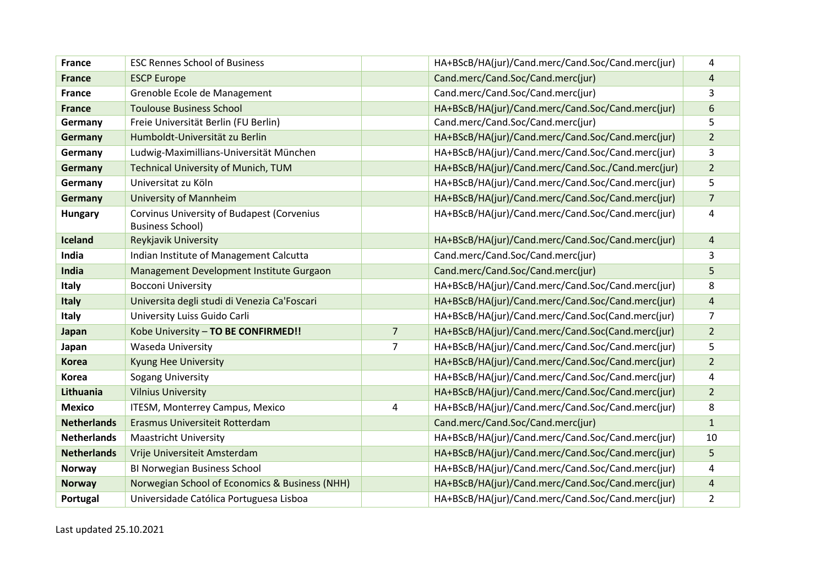| <b>France</b>      | <b>ESC Rennes School of Business</b>                                  |                | HA+BScB/HA(jur)/Cand.merc/Cand.Soc/Cand.merc(jur)  | 4              |
|--------------------|-----------------------------------------------------------------------|----------------|----------------------------------------------------|----------------|
| <b>France</b>      | <b>ESCP Europe</b>                                                    |                | Cand.merc/Cand.Soc/Cand.merc(jur)                  | 4              |
| <b>France</b>      | Grenoble Ecole de Management                                          |                | Cand.merc/Cand.Soc/Cand.merc(jur)                  | 3              |
| <b>France</b>      | <b>Toulouse Business School</b>                                       |                | HA+BScB/HA(jur)/Cand.merc/Cand.Soc/Cand.merc(jur)  | 6              |
| Germany            | Freie Universität Berlin (FU Berlin)                                  |                | Cand.merc/Cand.Soc/Cand.merc(jur)                  | 5              |
| Germany            | Humboldt-Universität zu Berlin                                        |                | HA+BScB/HA(jur)/Cand.merc/Cand.Soc/Cand.merc(jur)  | $\overline{2}$ |
| Germany            | Ludwig-Maximillians-Universität München                               |                | HA+BScB/HA(jur)/Cand.merc/Cand.Soc/Cand.merc(jur)  | 3              |
| Germany            | <b>Technical University of Munich, TUM</b>                            |                | HA+BScB/HA(jur)/Cand.merc/Cand.Soc./Cand.merc(jur) | $\overline{2}$ |
| Germany            | Universitat zu Köln                                                   |                | HA+BScB/HA(jur)/Cand.merc/Cand.Soc/Cand.merc(jur)  | 5.             |
| Germany            | <b>University of Mannheim</b>                                         |                | HA+BScB/HA(jur)/Cand.merc/Cand.Soc/Cand.merc(jur)  | $\overline{7}$ |
| <b>Hungary</b>     | Corvinus University of Budapest (Corvenius<br><b>Business School)</b> |                | HA+BScB/HA(jur)/Cand.merc/Cand.Soc/Cand.merc(jur)  | 4              |
| <b>Iceland</b>     | Reykjavik University                                                  |                | HA+BScB/HA(jur)/Cand.merc/Cand.Soc/Cand.merc(jur)  | $\overline{4}$ |
| India              | Indian Institute of Management Calcutta                               |                | Cand.merc/Cand.Soc/Cand.merc(jur)                  | 3              |
| India              | Management Development Institute Gurgaon                              |                | Cand.merc/Cand.Soc/Cand.merc(jur)                  | 5              |
| Italy              | <b>Bocconi University</b>                                             |                | HA+BScB/HA(jur)/Cand.merc/Cand.Soc/Cand.merc(jur)  | 8              |
| Italy              | Universita degli studi di Venezia Ca'Foscari                          |                | HA+BScB/HA(jur)/Cand.merc/Cand.Soc/Cand.merc(jur)  | 4              |
| Italy              | University Luiss Guido Carli                                          |                | HA+BScB/HA(jur)/Cand.merc/Cand.Soc(Cand.merc(jur)  | 7              |
| Japan              | Kobe University - TO BE CONFIRMED!!                                   | $\overline{7}$ | HA+BScB/HA(jur)/Cand.merc/Cand.Soc(Cand.merc(jur)  | $\overline{2}$ |
| Japan              | Waseda University                                                     | $\overline{7}$ | HA+BScB/HA(jur)/Cand.merc/Cand.Soc/Cand.merc(jur)  | 5              |
| <b>Korea</b>       | <b>Kyung Hee University</b>                                           |                | HA+BScB/HA(jur)/Cand.merc/Cand.Soc/Cand.merc(jur)  | $\overline{2}$ |
| Korea              | Sogang University                                                     |                | HA+BScB/HA(jur)/Cand.merc/Cand.Soc/Cand.merc(jur)  | 4              |
| Lithuania          | <b>Vilnius University</b>                                             |                | HA+BScB/HA(jur)/Cand.merc/Cand.Soc/Cand.merc(jur)  | $\overline{2}$ |
| <b>Mexico</b>      | ITESM, Monterrey Campus, Mexico                                       | 4              | HA+BScB/HA(jur)/Cand.merc/Cand.Soc/Cand.merc(jur)  | 8              |
| <b>Netherlands</b> | Erasmus Universiteit Rotterdam                                        |                | Cand.merc/Cand.Soc/Cand.merc(jur)                  | $\mathbf{1}$   |
| <b>Netherlands</b> | <b>Maastricht University</b>                                          |                | HA+BScB/HA(jur)/Cand.merc/Cand.Soc/Cand.merc(jur)  | 10             |
| <b>Netherlands</b> | Vrije Universiteit Amsterdam                                          |                | HA+BScB/HA(jur)/Cand.merc/Cand.Soc/Cand.merc(jur)  | 5              |
| <b>Norway</b>      | BI Norwegian Business School                                          |                | HA+BScB/HA(jur)/Cand.merc/Cand.Soc/Cand.merc(jur)  | 4              |
| <b>Norway</b>      | Norwegian School of Economics & Business (NHH)                        |                | HA+BScB/HA(jur)/Cand.merc/Cand.Soc/Cand.merc(jur)  | 4              |
| Portugal           | Universidade Católica Portuguesa Lisboa                               |                | HA+BScB/HA(jur)/Cand.merc/Cand.Soc/Cand.merc(jur)  | $\overline{2}$ |